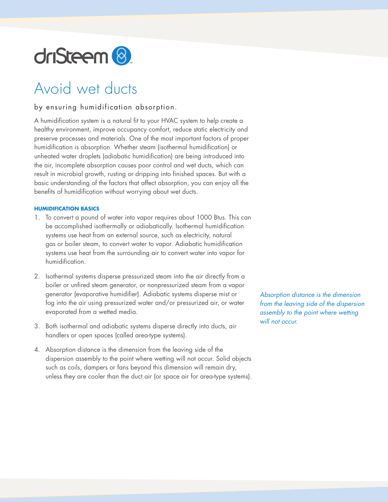

# Avoid wet ducts

## by ensuring humidification absorption.

A humidification system is a natural fit to your HVAC system to help create a healthy environment, improve occupancy comfort, reduce static electricity and preserve processes and materials. One of the most important factors of proper humidification is absorption. Whether steam (isothermal humidification) or unheated water droplets (adiabatic humidification) are being introduced into the air, incomplete absorption causes poor control and wet ducts, which can result in microbial growth, rusting or dripping into finished spaces. But with a basic understanding of the factors that affect absorption, you can enjoy all the benefits of humidification without worrying about wet ducts.

#### **HUMIDIFICATION BASICS**

- 1. To convert a pound of water into vapor requires about 1000 Btus. This can be accomplished isothermally or adiabatically. Isothermal humidification systems use heat from an external source, such as electricity, natural gas or boiler steam, to convert water to vapor. Adiabatic humidification systems use heat from the surrounding air to convert water into vapor for humidification.
- 2. Isothermal systems disperse pressurized steam into the air directly from a boiler or unfired steam generator, or nonpressurized steam from a vapor generator (evaporative humidifier). Adiabatic systems disperse mist or fog into the air using pressurized water and/or pressurized air, or water evaporated from a wetted media.
- 3. Both isothermal and adiabatic systems disperse directly into ducts, air handlers or open spaces (called area-type systems).
- 4. Absorption distance is the dimension from the leaving side of the dispersion assembly to the point where wetting will not occur. Solid objects such as coils, dampers or fans beyond this dimension will remain dry, unless they are cooler than the duct air (or space air for area-type systems).

*Absorption distance is the dimension from the leaving side of the dispersion assembly to the point where wetting will not occur.*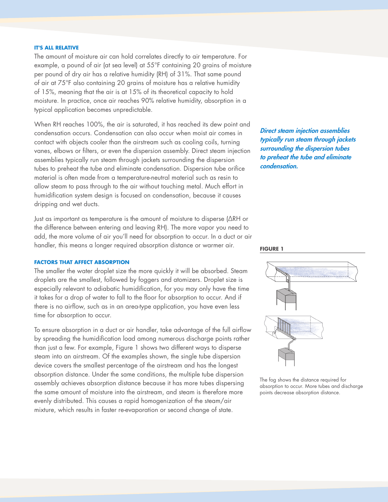#### **IT'S ALL RELATIVE**

The amount of moisture air can hold correlates directly to air temperature. For example, a pound of air (at sea level) at 55°F containing 20 grains of moisture per pound of dry air has a relative humidity (RH) of 31%. That same pound of air at 75°F also containing 20 grains of moisture has a relative humidity of 15%, meaning that the air is at 15% of its theoretical capacity to hold moisture. In practice, once air reaches 90% relative humidity, absorption in a typical application becomes unpredictable.

When RH reaches 100%, the air is saturated, it has reached its dew point and condensation occurs. Condensation can also occur when moist air comes in contact with objects cooler than the airstream such as cooling coils, turning vanes, elbows or filters, or even the dispersion assembly. Direct steam injection assemblies typically run steam through jackets surrounding the dispersion tubes to preheat the tube and eliminate condensation. Dispersion tube orifice material is often made from a temperature-neutral material such as resin to allow steam to pass through to the air without touching metal. Much effort in humidification system design is focused on condensation, because it causes dripping and wet ducts.

Just as important as temperature is the amount of moisture to disperse (ΔRH or the difference between entering and leaving RH). The more vapor you need to add, the more volume of air you'll need for absorption to occur. In a duct or air handler, this means a longer required absorption distance or warmer air.

## **FACTORS THAT AFFECT ABSORPTION**

The smaller the water droplet size the more quickly it will be absorbed. Steam droplets are the smallest, followed by foggers and atomizers. Droplet size is especially relevant to adiabatic humidification, for you may only have the time it takes for a drop of water to fall to the floor for absorption to occur. And if there is no airflow, such as in an area-type application, you have even less time for absorption to occur.

To ensure absorption in a duct or air handler, take advantage of the full airflow by spreading the humidification load among numerous discharge points rather than just a few. For example, Figure 1 shows two different ways to disperse steam into an airstream. Of the examples shown, the single tube dispersion device covers the smallest percentage of the airstream and has the longest absorption distance. Under the same conditions, the multiple tube dispersion assembly achieves absorption distance because it has more tubes dispersing the same amount of moisture into the airstream, and steam is therefore more evenly distributed. This causes a rapid homogenization of the steam/air mixture, which results in faster re-evaporation or second change of state.

Direct steam injection assemblies typically run steam through jackets surrounding the dispersion tubes to preheat the tube and eliminate condensation.

#### **FIGURE 1**



The fog shows the distance required for absorption to occur. More tubes and discharge points decrease absorption distance.